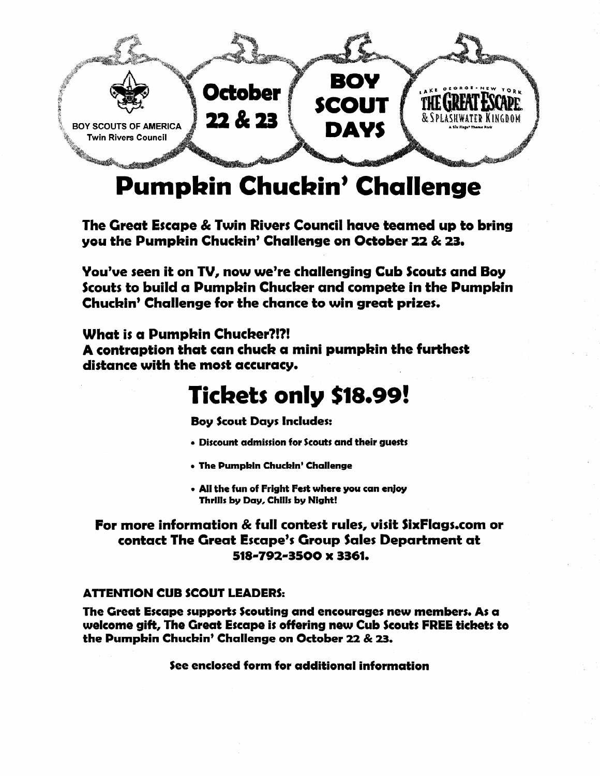

# **Pumpkin Chuckin' Challenge**

The Great Escape & Twin Rivers Council have teamed up to bring you the Pumpkin Chuckin' Challenge on October 22 & 23.

You've seen it on TV, now we're challenging Cub Scouts and Boy Scouts to build a Pumpkin Chucker and compete in the Pumpkin Chuckin' Challenge for the chance to win great prizes.

What is a Pumpkin Chucker?!?! A contraption that can chuck a mini pumpkin the furthest distance with the most accuracy.

## **Tickets only \$18.99!**

**Boy Scout Days Includes:** 

- Discount admission for Scouts and their guests
- The Pumpkin Chuckin' Challenge
- All the fun of Fright Fest where you can enjoy Thrills by Day, Chills by Night!

### For more information & full contest rules, visit SixFlags.com or contact The Great Escape's Group Sales Department at 518-792-3500 x 3361.

#### **ATTENTION CUB SCOUT LEADERS:**

The Great Escape supports Scouting and encourages new members. As a welcome gift, The Great Escape is offering new Cub Scouts FREE tickets to the Pumpkin Chuckin' Challenge on October 22 & 23.

See enclosed form for additional information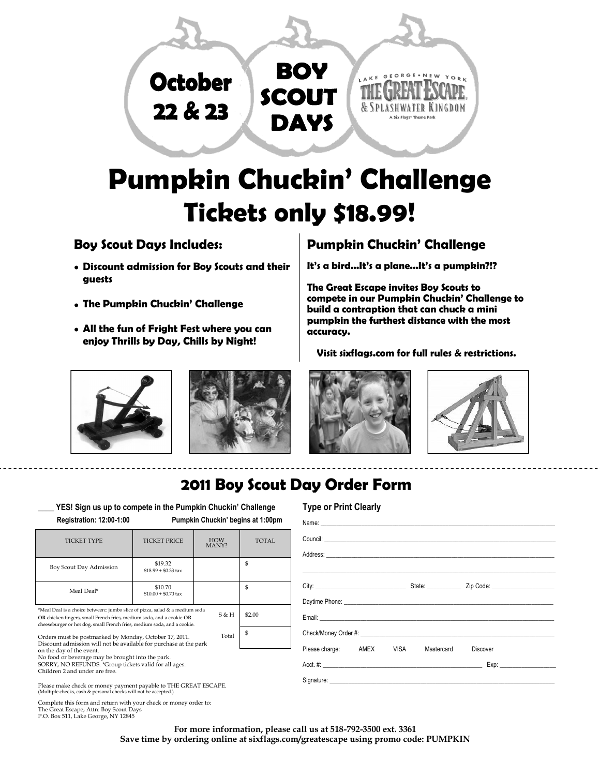

# **Pumpkin Chuckin' Challenge Tickets only \$18.99!**

### **Boy Scout Days Includes:**

- **Discount admission for Boy Scouts and their guests**
- **The Pumpkin Chuckin' Challenge**
- **All the fun of Fright Fest where you can enjoy Thrills by Day, Chills by Night!**

### **Pumpkin Chuckin' Challenge**

**It's a bird...It's a plane...It's a pumpkin?!?**

**The Great Escape invites Boy Scouts to compete in our Pumpkin Chuckin' Challenge to build a contraption that can chuck a mini pumpkin the furthest distance with the most accuracy.** 

**Visit sixflags.com for full rules & restrictions.** 









### **2011 Boy Scout Day Order Form**

YES! Sign us up to compete in the Pumpkin Chuckin' Challenge  **Registration: 12:00-1:00 Pumpkin Chuckin' begins at 1:00pm** 

|  | Type or Print Clearly |  |
|--|-----------------------|--|

| Registration. 12.00 1.00                                                                                                                                                                                                                                              |                                 | <b>PUILDAIL CHUCAIL DEGILS AL LOUDILL</b> |                |
|-----------------------------------------------------------------------------------------------------------------------------------------------------------------------------------------------------------------------------------------------------------------------|---------------------------------|-------------------------------------------|----------------|
| <b>TICKET TYPE</b>                                                                                                                                                                                                                                                    | <b>TICKET PRICE</b>             | <b>HOW</b><br>MANY?                       | <b>TOTAL</b>   |
| Boy Scout Day Admission                                                                                                                                                                                                                                               | \$19.32<br>$$18.99 + $0.33$ tax |                                           | S              |
| Meal Deal*                                                                                                                                                                                                                                                            | \$10.70<br>$$10.00 + $0.70$ tax |                                           | \$.            |
| *Meal Deal is a choice between:: jumbo slice of pizza, salad & a medium soda<br>OR chicken fingers, small French fries, medium soda, and a cookie OR<br>cheeseburger or hot dog, small French fries, medium soda, and a cookie.                                       |                                 | S & H                                     | \$2.00         |
| Orders must be postmarked by Monday, October 17, 2011.<br>Discount admission will not be available for purchase at the park<br>on the day of the event.<br>No food or beverage may be brought into the park.<br>SORRY, NO REFUNDS. *Group tickets valid for all ages. |                                 | Total                                     | $\mathfrak{S}$ |
| Children 2 and under are free.<br>Please make check or money payment payable to THE GREAT ESCAPE.<br>(Multiple checks, cash & personal checks will not be accepted.)                                                                                                  |                                 |                                           |                |
| According this According is a constitution of the second state of the construction of the first                                                                                                                                                                       |                                 |                                           |                |

mplete this form and return with your check or money order to: The Great Escape, Attn: Boy Scout Days P.O. Box 511, Lake George, NY 12845

> **For more information, please call us at 518-792-3500 ext. 3361 Save time by ordering online at sixflags.com/greatescape using promo code: PUMPKIN**